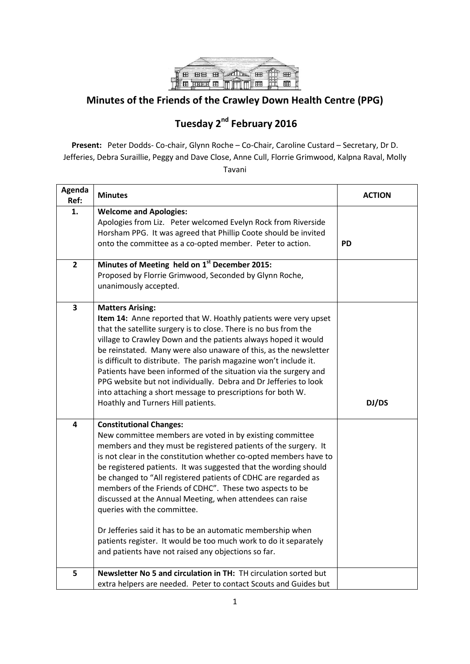

## **Minutes of the Friends of the Crawley Down Health Centre (PPG)**

## **Tuesday 2 nd February 2016**

**Present:** Peter Dodds- Co-chair, Glynn Roche – Co-Chair, Caroline Custard – Secretary, Dr D. Jefferies, Debra Suraillie, Peggy and Dave Close, Anne Cull, Florrie Grimwood, Kalpna Raval, Molly Tavani

| Agenda<br>Ref:          | <b>Minutes</b>                                                                                                                                                                                                                                                                                                                                                                                                                                                                                                                                                                                                                                                                                                             | <b>ACTION</b> |
|-------------------------|----------------------------------------------------------------------------------------------------------------------------------------------------------------------------------------------------------------------------------------------------------------------------------------------------------------------------------------------------------------------------------------------------------------------------------------------------------------------------------------------------------------------------------------------------------------------------------------------------------------------------------------------------------------------------------------------------------------------------|---------------|
| 1.                      | <b>Welcome and Apologies:</b><br>Apologies from Liz. Peter welcomed Evelyn Rock from Riverside<br>Horsham PPG. It was agreed that Phillip Coote should be invited<br>onto the committee as a co-opted member. Peter to action.                                                                                                                                                                                                                                                                                                                                                                                                                                                                                             | <b>PD</b>     |
| $\overline{2}$          | Minutes of Meeting held on 1st December 2015:<br>Proposed by Florrie Grimwood, Seconded by Glynn Roche,<br>unanimously accepted.                                                                                                                                                                                                                                                                                                                                                                                                                                                                                                                                                                                           |               |
| $\overline{\mathbf{3}}$ | <b>Matters Arising:</b><br>Item 14: Anne reported that W. Hoathly patients were very upset<br>that the satellite surgery is to close. There is no bus from the<br>village to Crawley Down and the patients always hoped it would<br>be reinstated. Many were also unaware of this, as the newsletter<br>is difficult to distribute. The parish magazine won't include it.<br>Patients have been informed of the situation via the surgery and<br>PPG website but not individually. Debra and Dr Jefferies to look<br>into attaching a short message to prescriptions for both W.<br>Hoathly and Turners Hill patients.                                                                                                     | DJ/DS         |
| 4                       | <b>Constitutional Changes:</b><br>New committee members are voted in by existing committee<br>members and they must be registered patients of the surgery. It<br>is not clear in the constitution whether co-opted members have to<br>be registered patients. It was suggested that the wording should<br>be changed to "All registered patients of CDHC are regarded as<br>members of the Friends of CDHC". These two aspects to be<br>discussed at the Annual Meeting, when attendees can raise<br>queries with the committee.<br>Dr Jefferies said it has to be an automatic membership when<br>patients register. It would be too much work to do it separately<br>and patients have not raised any objections so far. |               |
| 5                       | Newsletter No 5 and circulation in TH: TH circulation sorted but<br>extra helpers are needed. Peter to contact Scouts and Guides but                                                                                                                                                                                                                                                                                                                                                                                                                                                                                                                                                                                       |               |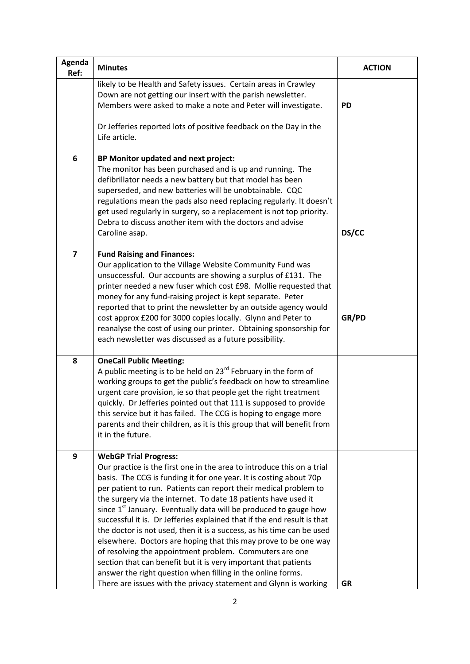| Agenda<br>Ref:          | <b>Minutes</b>                                                                                                                                                                                                                                                                                                                                                                                                                                                                                                                                                                                                                                                                                                                                                                                                                                                                             | <b>ACTION</b> |
|-------------------------|--------------------------------------------------------------------------------------------------------------------------------------------------------------------------------------------------------------------------------------------------------------------------------------------------------------------------------------------------------------------------------------------------------------------------------------------------------------------------------------------------------------------------------------------------------------------------------------------------------------------------------------------------------------------------------------------------------------------------------------------------------------------------------------------------------------------------------------------------------------------------------------------|---------------|
|                         | likely to be Health and Safety issues. Certain areas in Crawley<br>Down are not getting our insert with the parish newsletter.<br>Members were asked to make a note and Peter will investigate.<br>Dr Jefferies reported lots of positive feedback on the Day in the<br>Life article.                                                                                                                                                                                                                                                                                                                                                                                                                                                                                                                                                                                                      | <b>PD</b>     |
| 6                       | BP Monitor updated and next project:<br>The monitor has been purchased and is up and running. The<br>defibrillator needs a new battery but that model has been<br>superseded, and new batteries will be unobtainable. CQC<br>regulations mean the pads also need replacing regularly. It doesn't<br>get used regularly in surgery, so a replacement is not top priority.<br>Debra to discuss another item with the doctors and advise<br>Caroline asap.                                                                                                                                                                                                                                                                                                                                                                                                                                    | DS/CC         |
| $\overline{\mathbf{z}}$ | <b>Fund Raising and Finances:</b><br>Our application to the Village Website Community Fund was<br>unsuccessful. Our accounts are showing a surplus of £131. The<br>printer needed a new fuser which cost £98. Mollie requested that<br>money for any fund-raising project is kept separate. Peter<br>reported that to print the newsletter by an outside agency would<br>cost approx £200 for 3000 copies locally. Glynn and Peter to<br>reanalyse the cost of using our printer. Obtaining sponsorship for<br>each newsletter was discussed as a future possibility.                                                                                                                                                                                                                                                                                                                      | GR/PD         |
| 8                       | <b>OneCall Public Meeting:</b><br>A public meeting is to be held on 23 <sup>rd</sup> February in the form of<br>working groups to get the public's feedback on how to streamline<br>urgent care provision, ie so that people get the right treatment<br>quickly. Dr Jefferies pointed out that 111 is supposed to provide<br>this service but it has failed. The CCG is hoping to engage more<br>parents and their children, as it is this group that will benefit from<br>it in the future.                                                                                                                                                                                                                                                                                                                                                                                               |               |
| 9                       | <b>WebGP Trial Progress:</b><br>Our practice is the first one in the area to introduce this on a trial<br>basis. The CCG is funding it for one year. It is costing about 70p<br>per patient to run. Patients can report their medical problem to<br>the surgery via the internet. To date 18 patients have used it<br>since 1 <sup>st</sup> January. Eventually data will be produced to gauge how<br>successful it is. Dr Jefferies explained that if the end result is that<br>the doctor is not used, then it is a success, as his time can be used<br>elsewhere. Doctors are hoping that this may prove to be one way<br>of resolving the appointment problem. Commuters are one<br>section that can benefit but it is very important that patients<br>answer the right question when filling in the online forms.<br>There are issues with the privacy statement and Glynn is working | <b>GR</b>     |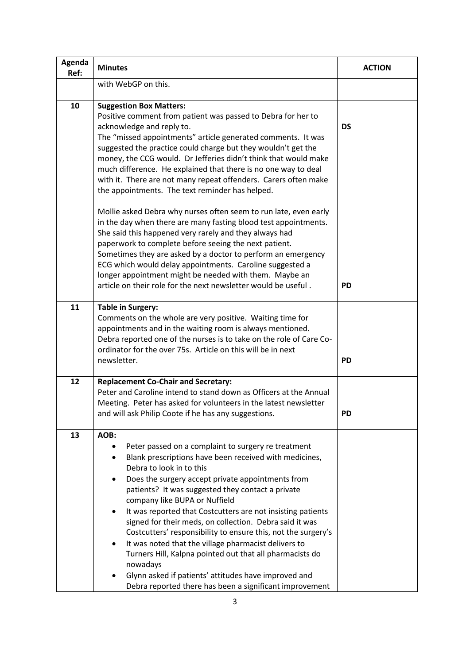| Agenda<br>Ref: | <b>Minutes</b>                                                                                                                                                                                                                                                                                                                                                                                                                                                                                                                                                                                                                                                                                                                                            | <b>ACTION</b> |
|----------------|-----------------------------------------------------------------------------------------------------------------------------------------------------------------------------------------------------------------------------------------------------------------------------------------------------------------------------------------------------------------------------------------------------------------------------------------------------------------------------------------------------------------------------------------------------------------------------------------------------------------------------------------------------------------------------------------------------------------------------------------------------------|---------------|
|                | with WebGP on this.                                                                                                                                                                                                                                                                                                                                                                                                                                                                                                                                                                                                                                                                                                                                       |               |
| 10             | <b>Suggestion Box Matters:</b><br>Positive comment from patient was passed to Debra for her to<br>acknowledge and reply to.<br>The "missed appointments" article generated comments. It was<br>suggested the practice could charge but they wouldn't get the<br>money, the CCG would. Dr Jefferies didn't think that would make<br>much difference. He explained that there is no one way to deal<br>with it. There are not many repeat offenders. Carers often make<br>the appointments. The text reminder has helped.<br>Mollie asked Debra why nurses often seem to run late, even early                                                                                                                                                               | <b>DS</b>     |
|                | in the day when there are many fasting blood test appointments.<br>She said this happened very rarely and they always had<br>paperwork to complete before seeing the next patient.<br>Sometimes they are asked by a doctor to perform an emergency<br>ECG which would delay appointments. Caroline suggested a<br>longer appointment might be needed with them. Maybe an<br>article on their role for the next newsletter would be useful.                                                                                                                                                                                                                                                                                                                | <b>PD</b>     |
| 11             | <b>Table in Surgery:</b><br>Comments on the whole are very positive. Waiting time for<br>appointments and in the waiting room is always mentioned.<br>Debra reported one of the nurses is to take on the role of Care Co-<br>ordinator for the over 75s. Article on this will be in next<br>newsletter.                                                                                                                                                                                                                                                                                                                                                                                                                                                   | <b>PD</b>     |
| 12             | <b>Replacement Co-Chair and Secretary:</b><br>Peter and Caroline intend to stand down as Officers at the Annual<br>Meeting. Peter has asked for volunteers in the latest newsletter<br>and will ask Philip Coote if he has any suggestions.                                                                                                                                                                                                                                                                                                                                                                                                                                                                                                               | PD            |
| 13             | AOB:<br>Peter passed on a complaint to surgery re treatment<br>Blank prescriptions have been received with medicines,<br>٠<br>Debra to look in to this<br>Does the surgery accept private appointments from<br>patients? It was suggested they contact a private<br>company like BUPA or Nuffield<br>It was reported that Costcutters are not insisting patients<br>٠<br>signed for their meds, on collection. Debra said it was<br>Costcutters' responsibility to ensure this, not the surgery's<br>It was noted that the village pharmacist delivers to<br>٠<br>Turners Hill, Kalpna pointed out that all pharmacists do<br>nowadays<br>Glynn asked if patients' attitudes have improved and<br>Debra reported there has been a significant improvement |               |